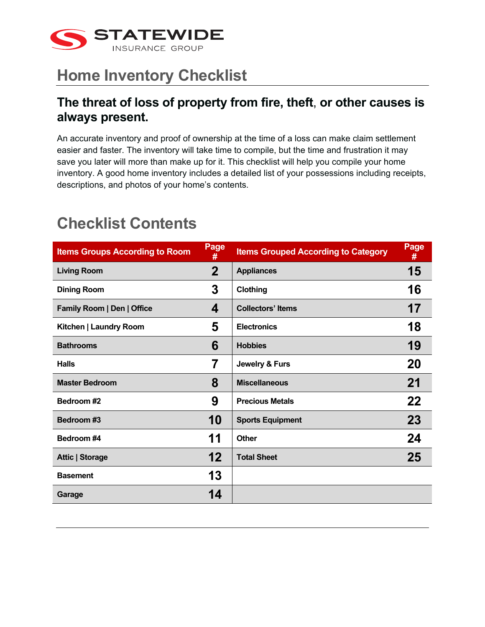

#### **The threat of loss of property from fire, theft**, **or other causes is always present.**

An accurate inventory and proof of ownership at the time of a loss can make claim settlement easier and faster. The inventory will take time to compile, but the time and frustration it may save you later will more than make up for it. This checklist will help you compile your home inventory. A good home inventory includes a detailed list of your possessions including receipts, descriptions, and photos of your home's contents.

| <b>Items Groups According to Room</b> | Page<br>#         | <b>Items Grouped According to Category</b> | Page<br># |
|---------------------------------------|-------------------|--------------------------------------------|-----------|
| <b>Living Room</b>                    | $\mathbf 2$       | <b>Appliances</b>                          | 15        |
| <b>Dining Room</b>                    | 3                 | Clothing                                   | 16        |
| Family Room   Den   Office            | 4                 | <b>Collectors' Items</b>                   | 17        |
| Kitchen   Laundry Room                | 5                 | <b>Electronics</b>                         | 18        |
| <b>Bathrooms</b>                      | 6                 | <b>Hobbies</b>                             | 19        |
| <b>Halls</b>                          | 7                 | Jewelry & Furs                             | 20        |
| <b>Master Bedroom</b>                 | 8                 | <b>Miscellaneous</b>                       | 21        |
| Bedroom #2                            | 9                 | <b>Precious Metals</b>                     | 22        |
| Bedroom #3                            | 10                | <b>Sports Equipment</b>                    | 23        |
| Bedroom #4                            | 11                | Other                                      | 24        |
| <b>Attic   Storage</b>                | $12 \overline{ }$ | <b>Total Sheet</b>                         | 25        |
| <b>Basement</b>                       | 13                |                                            |           |
| Garage                                | 14                |                                            |           |

#### **Checklist Contents**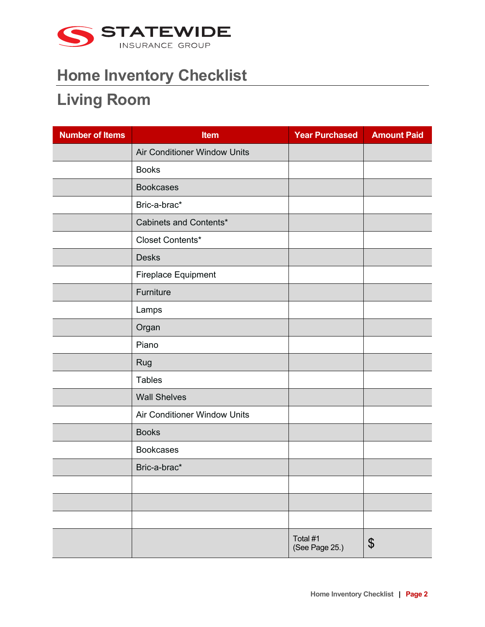

#### **Living Room**

| <b>Number of Items</b> | <b>Item</b>                  | <b>Year Purchased</b>      | <b>Amount Paid</b>    |
|------------------------|------------------------------|----------------------------|-----------------------|
|                        | Air Conditioner Window Units |                            |                       |
|                        | <b>Books</b>                 |                            |                       |
|                        | <b>Bookcases</b>             |                            |                       |
|                        | Bric-a-brac*                 |                            |                       |
|                        | Cabinets and Contents*       |                            |                       |
|                        | Closet Contents*             |                            |                       |
|                        | <b>Desks</b>                 |                            |                       |
|                        | Fireplace Equipment          |                            |                       |
|                        | Furniture                    |                            |                       |
|                        | Lamps                        |                            |                       |
|                        | Organ                        |                            |                       |
|                        | Piano                        |                            |                       |
|                        | Rug                          |                            |                       |
|                        | <b>Tables</b>                |                            |                       |
|                        | <b>Wall Shelves</b>          |                            |                       |
|                        | Air Conditioner Window Units |                            |                       |
|                        | <b>Books</b>                 |                            |                       |
|                        | <b>Bookcases</b>             |                            |                       |
|                        | Bric-a-brac*                 |                            |                       |
|                        |                              |                            |                       |
|                        |                              |                            |                       |
|                        |                              |                            |                       |
|                        |                              | Total #1<br>(See Page 25.) | $\boldsymbol{\theta}$ |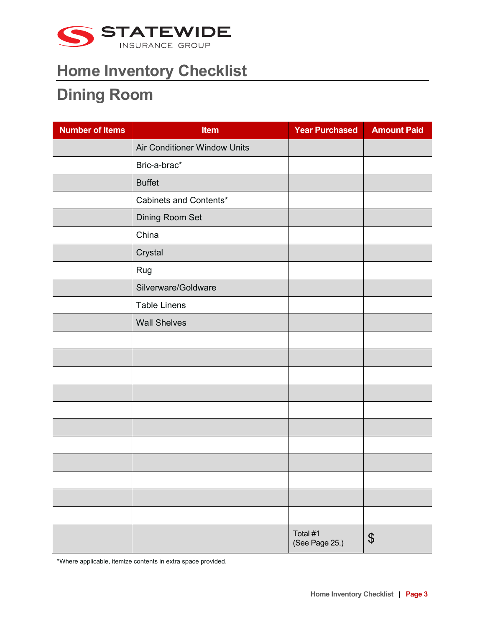

### **Dining Room**

| <b>Number of Items</b> | <b>Item</b>                  | <b>Year Purchased</b>      | <b>Amount Paid</b> |
|------------------------|------------------------------|----------------------------|--------------------|
|                        | Air Conditioner Window Units |                            |                    |
|                        | Bric-a-brac*                 |                            |                    |
|                        | <b>Buffet</b>                |                            |                    |
|                        | Cabinets and Contents*       |                            |                    |
|                        | Dining Room Set              |                            |                    |
|                        | China                        |                            |                    |
|                        | Crystal                      |                            |                    |
|                        | Rug                          |                            |                    |
|                        | Silverware/Goldware          |                            |                    |
|                        | <b>Table Linens</b>          |                            |                    |
|                        | <b>Wall Shelves</b>          |                            |                    |
|                        |                              |                            |                    |
|                        |                              |                            |                    |
|                        |                              |                            |                    |
|                        |                              |                            |                    |
|                        |                              |                            |                    |
|                        |                              |                            |                    |
|                        |                              |                            |                    |
|                        |                              |                            |                    |
|                        |                              |                            |                    |
|                        |                              |                            |                    |
|                        |                              |                            |                    |
|                        |                              | Total #1<br>(See Page 25.) | \$                 |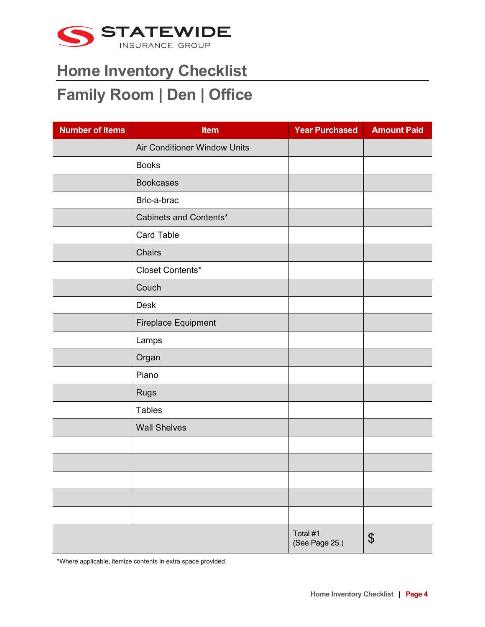

### **Family Room | Den | Office**

| <b>Number of Items</b> | <b>Item</b>                  | <b>Year Purchased</b>      | <b>Amount Paid</b> |
|------------------------|------------------------------|----------------------------|--------------------|
|                        | Air Conditioner Window Units |                            |                    |
|                        | <b>Books</b>                 |                            |                    |
|                        | <b>Bookcases</b>             |                            |                    |
|                        | Bric-a-brac                  |                            |                    |
|                        | Cabinets and Contents*       |                            |                    |
|                        | Card Table                   |                            |                    |
|                        | Chairs                       |                            |                    |
|                        | Closet Contents*             |                            |                    |
|                        | Couch                        |                            |                    |
|                        | <b>Desk</b>                  |                            |                    |
|                        | Fireplace Equipment          |                            |                    |
|                        | Lamps                        |                            |                    |
|                        | Organ                        |                            |                    |
|                        | Piano                        |                            |                    |
|                        | <b>Rugs</b>                  |                            |                    |
|                        | <b>Tables</b>                |                            |                    |
|                        | <b>Wall Shelves</b>          |                            |                    |
|                        |                              |                            |                    |
|                        |                              |                            |                    |
|                        |                              |                            |                    |
|                        |                              |                            |                    |
|                        |                              |                            |                    |
|                        |                              | Total #1<br>(See Page 25.) | \$                 |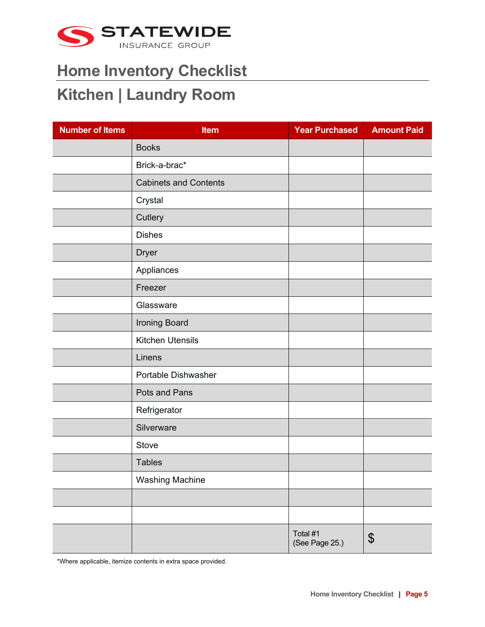

#### **Kitchen | Laundry Room**

| <b>Number of Items</b> | <b>Item</b>                  | <b>Year Purchased</b>      | <b>Amount Paid</b> |
|------------------------|------------------------------|----------------------------|--------------------|
|                        | <b>Books</b>                 |                            |                    |
|                        | Brick-a-brac*                |                            |                    |
|                        | <b>Cabinets and Contents</b> |                            |                    |
|                        | Crystal                      |                            |                    |
|                        | Cutlery                      |                            |                    |
|                        | <b>Dishes</b>                |                            |                    |
|                        | <b>Dryer</b>                 |                            |                    |
|                        | Appliances                   |                            |                    |
|                        | Freezer                      |                            |                    |
|                        | Glassware                    |                            |                    |
|                        | Ironing Board                |                            |                    |
|                        | <b>Kitchen Utensils</b>      |                            |                    |
|                        | Linens                       |                            |                    |
|                        | Portable Dishwasher          |                            |                    |
|                        | Pots and Pans                |                            |                    |
|                        | Refrigerator                 |                            |                    |
|                        | Silverware                   |                            |                    |
|                        | Stove                        |                            |                    |
|                        | <b>Tables</b>                |                            |                    |
|                        | <b>Washing Machine</b>       |                            |                    |
|                        |                              |                            |                    |
|                        |                              |                            |                    |
|                        |                              | Total #1<br>(See Page 25.) | \$                 |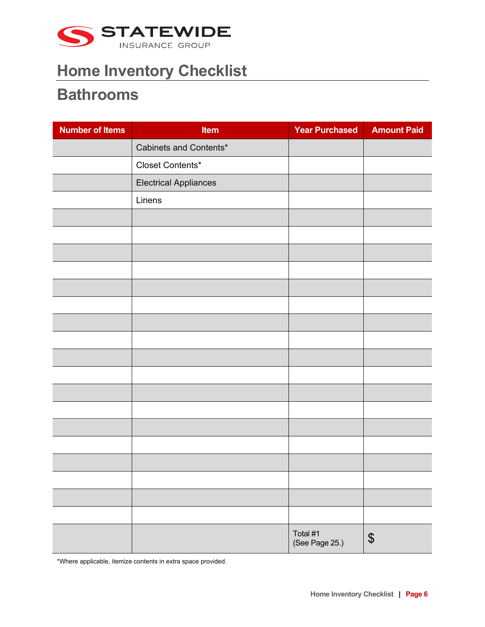

#### **Bathrooms**

| <b>Number of Items</b> | Item                         | <b>Year Purchased</b>      | <b>Amount Paid</b>         |
|------------------------|------------------------------|----------------------------|----------------------------|
|                        | Cabinets and Contents*       |                            |                            |
|                        | Closet Contents*             |                            |                            |
|                        | <b>Electrical Appliances</b> |                            |                            |
|                        | Linens                       |                            |                            |
|                        |                              |                            |                            |
|                        |                              |                            |                            |
|                        |                              |                            |                            |
|                        |                              |                            |                            |
|                        |                              |                            |                            |
|                        |                              |                            |                            |
|                        |                              |                            |                            |
|                        |                              |                            |                            |
|                        |                              |                            |                            |
|                        |                              |                            |                            |
|                        |                              |                            |                            |
|                        |                              |                            |                            |
|                        |                              |                            |                            |
|                        |                              |                            |                            |
|                        |                              |                            |                            |
|                        |                              |                            |                            |
|                        |                              |                            |                            |
|                        |                              |                            |                            |
|                        |                              | Total #1<br>(See Page 25.) | $\boldsymbol{\mathsf{\$}}$ |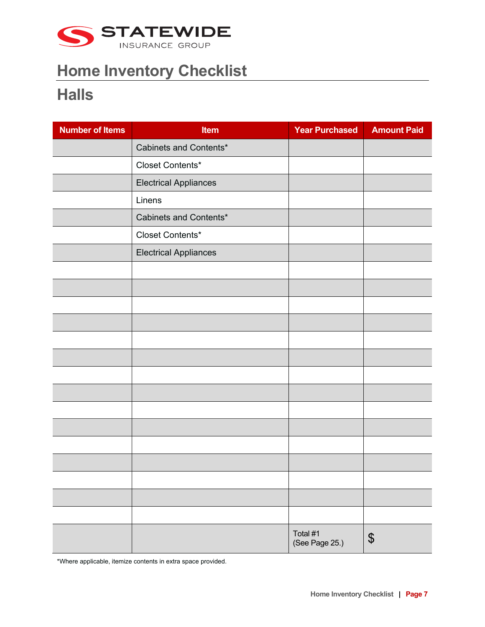

#### **Halls**

| <b>Number of Items</b> | Item                         | <b>Year Purchased</b>      | <b>Amount Paid</b> |
|------------------------|------------------------------|----------------------------|--------------------|
|                        | Cabinets and Contents*       |                            |                    |
|                        | Closet Contents*             |                            |                    |
|                        | <b>Electrical Appliances</b> |                            |                    |
|                        | Linens                       |                            |                    |
|                        | Cabinets and Contents*       |                            |                    |
|                        | Closet Contents*             |                            |                    |
|                        | <b>Electrical Appliances</b> |                            |                    |
|                        |                              |                            |                    |
|                        |                              |                            |                    |
|                        |                              |                            |                    |
|                        |                              |                            |                    |
|                        |                              |                            |                    |
|                        |                              |                            |                    |
|                        |                              |                            |                    |
|                        |                              |                            |                    |
|                        |                              |                            |                    |
|                        |                              |                            |                    |
|                        |                              |                            |                    |
|                        |                              |                            |                    |
|                        |                              |                            |                    |
|                        |                              |                            |                    |
|                        |                              |                            |                    |
|                        |                              | Total #1<br>(See Page 25.) | \$                 |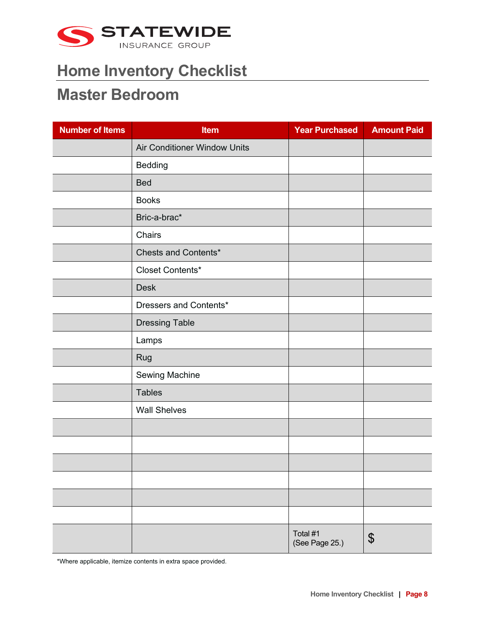

#### **Master Bedroom**

| <b>Number of Items</b> | <b>Item</b>                  | <b>Year Purchased</b>      | <b>Amount Paid</b> |
|------------------------|------------------------------|----------------------------|--------------------|
|                        | Air Conditioner Window Units |                            |                    |
|                        | Bedding                      |                            |                    |
|                        | <b>Bed</b>                   |                            |                    |
|                        | <b>Books</b>                 |                            |                    |
|                        | Bric-a-brac*                 |                            |                    |
|                        | Chairs                       |                            |                    |
|                        | Chests and Contents*         |                            |                    |
|                        | Closet Contents*             |                            |                    |
|                        | <b>Desk</b>                  |                            |                    |
|                        | Dressers and Contents*       |                            |                    |
|                        | <b>Dressing Table</b>        |                            |                    |
|                        | Lamps                        |                            |                    |
|                        | Rug                          |                            |                    |
|                        | Sewing Machine               |                            |                    |
|                        | <b>Tables</b>                |                            |                    |
|                        | <b>Wall Shelves</b>          |                            |                    |
|                        |                              |                            |                    |
|                        |                              |                            |                    |
|                        |                              |                            |                    |
|                        |                              |                            |                    |
|                        |                              |                            |                    |
|                        |                              |                            |                    |
|                        |                              | Total #1<br>(See Page 25.) | \$                 |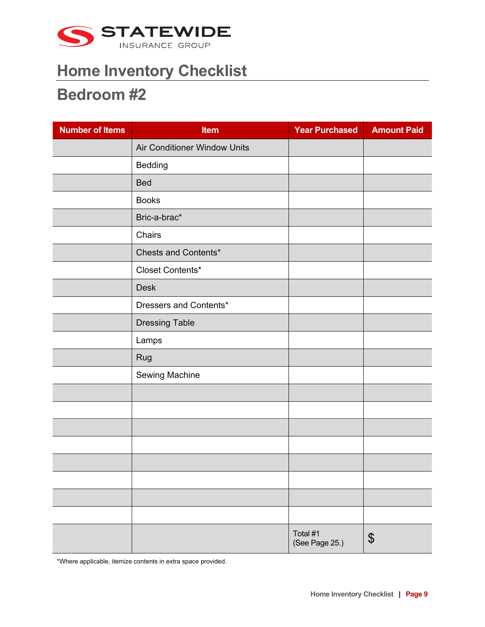

#### **Bedroom #2**

| <b>Number of Items</b> | <b>Item</b>                  | <b>Year Purchased</b>      | <b>Amount Paid</b> |
|------------------------|------------------------------|----------------------------|--------------------|
|                        | Air Conditioner Window Units |                            |                    |
|                        | Bedding                      |                            |                    |
|                        | <b>Bed</b>                   |                            |                    |
|                        | <b>Books</b>                 |                            |                    |
|                        | Bric-a-brac*                 |                            |                    |
|                        | Chairs                       |                            |                    |
|                        | Chests and Contents*         |                            |                    |
|                        | Closet Contents*             |                            |                    |
|                        | <b>Desk</b>                  |                            |                    |
|                        | Dressers and Contents*       |                            |                    |
|                        | <b>Dressing Table</b>        |                            |                    |
|                        | Lamps                        |                            |                    |
|                        | Rug                          |                            |                    |
|                        | Sewing Machine               |                            |                    |
|                        |                              |                            |                    |
|                        |                              |                            |                    |
|                        |                              |                            |                    |
|                        |                              |                            |                    |
|                        |                              |                            |                    |
|                        |                              |                            |                    |
|                        |                              |                            |                    |
|                        |                              |                            |                    |
|                        |                              | Total #1<br>(See Page 25.) | \$                 |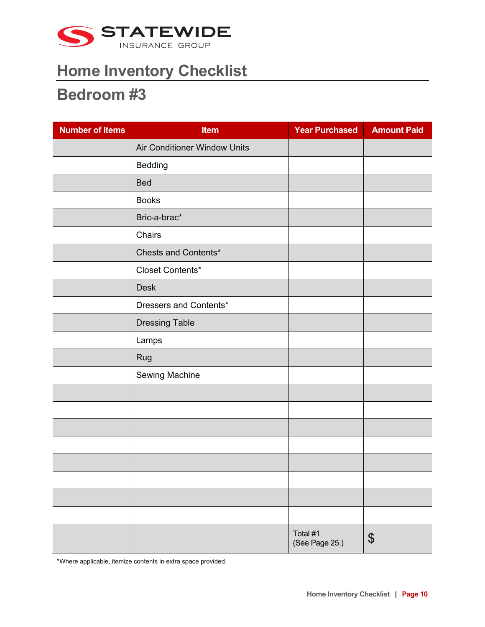

#### **Bedroom #3**

| <b>Number of Items</b> | <b>Item</b>                  | <b>Year Purchased</b>      | <b>Amount Paid</b> |
|------------------------|------------------------------|----------------------------|--------------------|
|                        | Air Conditioner Window Units |                            |                    |
|                        | Bedding                      |                            |                    |
|                        | <b>Bed</b>                   |                            |                    |
|                        | <b>Books</b>                 |                            |                    |
|                        | Bric-a-brac*                 |                            |                    |
|                        | Chairs                       |                            |                    |
|                        | Chests and Contents*         |                            |                    |
|                        | Closet Contents*             |                            |                    |
|                        | <b>Desk</b>                  |                            |                    |
|                        | Dressers and Contents*       |                            |                    |
|                        | <b>Dressing Table</b>        |                            |                    |
|                        | Lamps                        |                            |                    |
|                        | Rug                          |                            |                    |
|                        | Sewing Machine               |                            |                    |
|                        |                              |                            |                    |
|                        |                              |                            |                    |
|                        |                              |                            |                    |
|                        |                              |                            |                    |
|                        |                              |                            |                    |
|                        |                              |                            |                    |
|                        |                              |                            |                    |
|                        |                              |                            |                    |
|                        |                              | Total #1<br>(See Page 25.) | \$                 |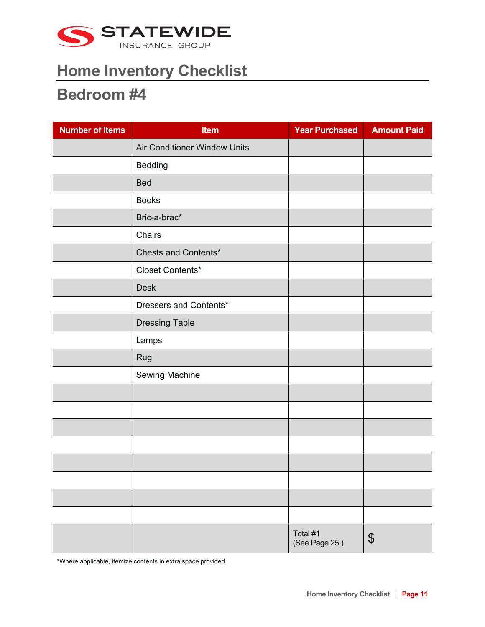

#### **Bedroom #4**

| <b>Number of Items</b> | <b>Item</b>                  | <b>Year Purchased</b>      | <b>Amount Paid</b> |
|------------------------|------------------------------|----------------------------|--------------------|
|                        | Air Conditioner Window Units |                            |                    |
|                        | Bedding                      |                            |                    |
|                        | <b>Bed</b>                   |                            |                    |
|                        | <b>Books</b>                 |                            |                    |
|                        | Bric-a-brac*                 |                            |                    |
|                        | Chairs                       |                            |                    |
|                        | Chests and Contents*         |                            |                    |
|                        | Closet Contents*             |                            |                    |
|                        | <b>Desk</b>                  |                            |                    |
|                        | Dressers and Contents*       |                            |                    |
|                        | <b>Dressing Table</b>        |                            |                    |
|                        | Lamps                        |                            |                    |
|                        | Rug                          |                            |                    |
|                        | Sewing Machine               |                            |                    |
|                        |                              |                            |                    |
|                        |                              |                            |                    |
|                        |                              |                            |                    |
|                        |                              |                            |                    |
|                        |                              |                            |                    |
|                        |                              |                            |                    |
|                        |                              |                            |                    |
|                        |                              |                            |                    |
|                        |                              | Total #1<br>(See Page 25.) | \$                 |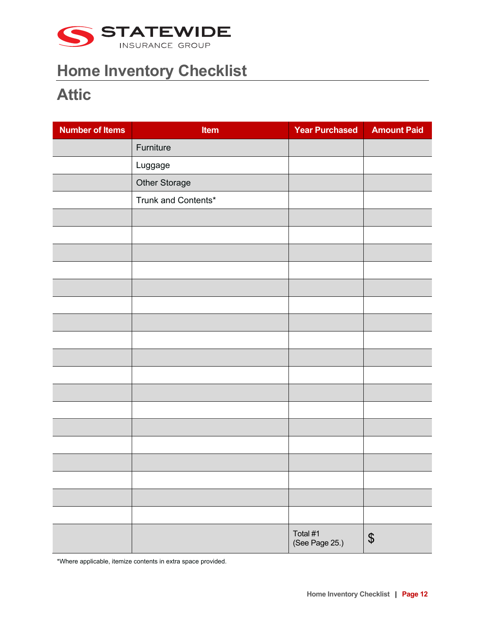

### **Attic**

| <b>Number of Items</b> | Item                | <b>Year Purchased</b>      | <b>Amount Paid</b>         |
|------------------------|---------------------|----------------------------|----------------------------|
|                        | Furniture           |                            |                            |
|                        | Luggage             |                            |                            |
|                        | Other Storage       |                            |                            |
|                        | Trunk and Contents* |                            |                            |
|                        |                     |                            |                            |
|                        |                     |                            |                            |
|                        |                     |                            |                            |
|                        |                     |                            |                            |
|                        |                     |                            |                            |
|                        |                     |                            |                            |
|                        |                     |                            |                            |
|                        |                     |                            |                            |
|                        |                     |                            |                            |
|                        |                     |                            |                            |
|                        |                     |                            |                            |
|                        |                     |                            |                            |
|                        |                     |                            |                            |
|                        |                     |                            |                            |
|                        |                     |                            |                            |
|                        |                     |                            |                            |
|                        |                     |                            |                            |
|                        |                     |                            |                            |
|                        |                     | Total #1<br>(See Page 25.) | $\boldsymbol{\mathsf{\$}}$ |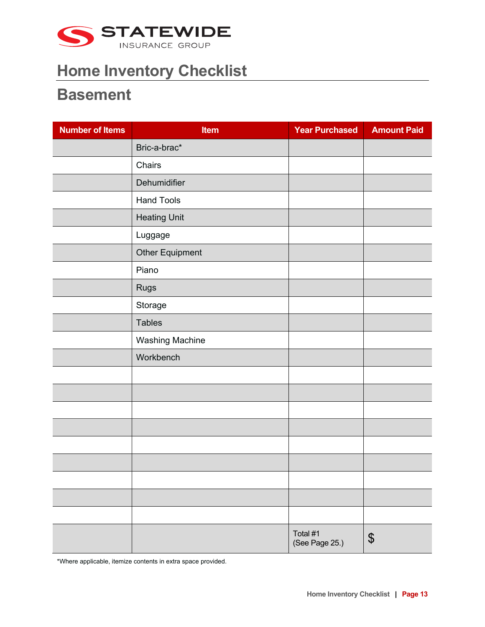

#### **Basement**

| <b>Number of Items</b> | <b>Item</b>            | <b>Year Purchased</b>      | <b>Amount Paid</b> |
|------------------------|------------------------|----------------------------|--------------------|
|                        | Bric-a-brac*           |                            |                    |
|                        | Chairs                 |                            |                    |
|                        | Dehumidifier           |                            |                    |
|                        | <b>Hand Tools</b>      |                            |                    |
|                        | <b>Heating Unit</b>    |                            |                    |
|                        | Luggage                |                            |                    |
|                        | Other Equipment        |                            |                    |
|                        | Piano                  |                            |                    |
|                        | <b>Rugs</b>            |                            |                    |
|                        | Storage                |                            |                    |
|                        | <b>Tables</b>          |                            |                    |
|                        | <b>Washing Machine</b> |                            |                    |
|                        | Workbench              |                            |                    |
|                        |                        |                            |                    |
|                        |                        |                            |                    |
|                        |                        |                            |                    |
|                        |                        |                            |                    |
|                        |                        |                            |                    |
|                        |                        |                            |                    |
|                        |                        |                            |                    |
|                        |                        |                            |                    |
|                        |                        |                            |                    |
|                        |                        | Total #1<br>(See Page 25.) | \$                 |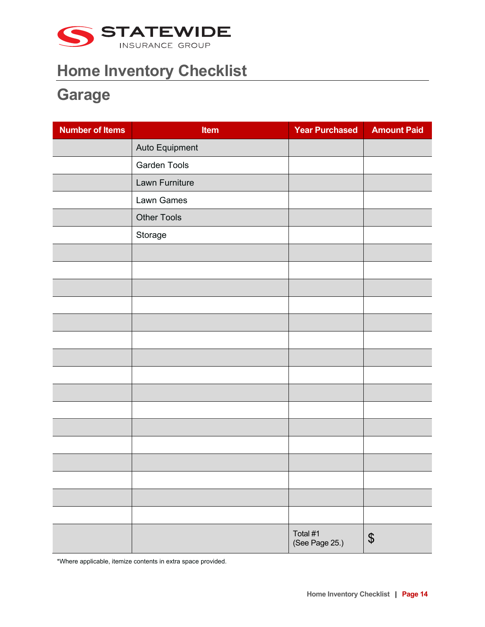

## **Garage**

| <b>Number of Items</b> | Item               | <b>Year Purchased</b>      | <b>Amount Paid</b> |
|------------------------|--------------------|----------------------------|--------------------|
|                        | Auto Equipment     |                            |                    |
|                        | Garden Tools       |                            |                    |
|                        | Lawn Furniture     |                            |                    |
|                        | Lawn Games         |                            |                    |
|                        | <b>Other Tools</b> |                            |                    |
|                        | Storage            |                            |                    |
|                        |                    |                            |                    |
|                        |                    |                            |                    |
|                        |                    |                            |                    |
|                        |                    |                            |                    |
|                        |                    |                            |                    |
|                        |                    |                            |                    |
|                        |                    |                            |                    |
|                        |                    |                            |                    |
|                        |                    |                            |                    |
|                        |                    |                            |                    |
|                        |                    |                            |                    |
|                        |                    |                            |                    |
|                        |                    |                            |                    |
|                        |                    |                            |                    |
|                        |                    |                            |                    |
|                        |                    |                            |                    |
|                        |                    | Total #1<br>(See Page 25.) | \$                 |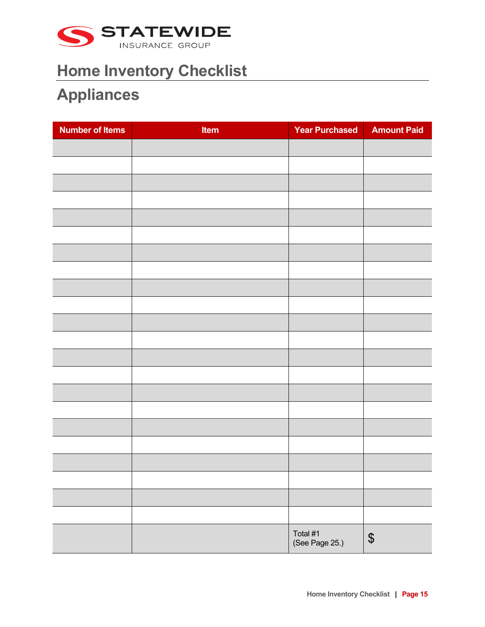

### **Appliances**

| <b>Number of Items</b> | <b>Item</b> | <b>Year Purchased</b>      | <b>Amount Paid</b>         |
|------------------------|-------------|----------------------------|----------------------------|
|                        |             |                            |                            |
|                        |             |                            |                            |
|                        |             |                            |                            |
|                        |             |                            |                            |
|                        |             |                            |                            |
|                        |             |                            |                            |
|                        |             |                            |                            |
|                        |             |                            |                            |
|                        |             |                            |                            |
|                        |             |                            |                            |
|                        |             |                            |                            |
|                        |             |                            |                            |
|                        |             |                            |                            |
|                        |             |                            |                            |
|                        |             |                            |                            |
|                        |             |                            |                            |
|                        |             |                            |                            |
|                        |             |                            |                            |
|                        |             |                            |                            |
|                        |             |                            |                            |
|                        |             |                            |                            |
|                        |             |                            |                            |
|                        |             | Total #1<br>(See Page 25.) | $\boldsymbol{\mathsf{\$}}$ |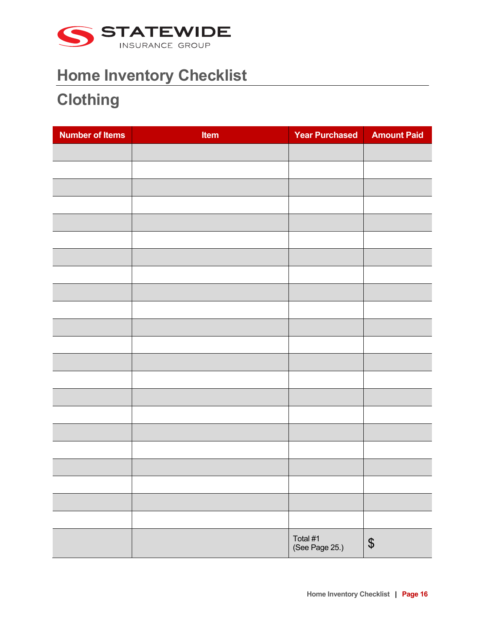

### **Clothing**

| <b>Number of Items</b> | Item | <b>Year Purchased</b>      | <b>Amount Paid</b>         |
|------------------------|------|----------------------------|----------------------------|
|                        |      |                            |                            |
|                        |      |                            |                            |
|                        |      |                            |                            |
|                        |      |                            |                            |
|                        |      |                            |                            |
|                        |      |                            |                            |
|                        |      |                            |                            |
|                        |      |                            |                            |
|                        |      |                            |                            |
|                        |      |                            |                            |
|                        |      |                            |                            |
|                        |      |                            |                            |
|                        |      |                            |                            |
|                        |      |                            |                            |
|                        |      |                            |                            |
|                        |      |                            |                            |
|                        |      |                            |                            |
|                        |      |                            |                            |
|                        |      |                            |                            |
|                        |      |                            |                            |
|                        |      |                            |                            |
|                        |      |                            |                            |
|                        |      | Total #1<br>(See Page 25.) | $\boldsymbol{\mathsf{\$}}$ |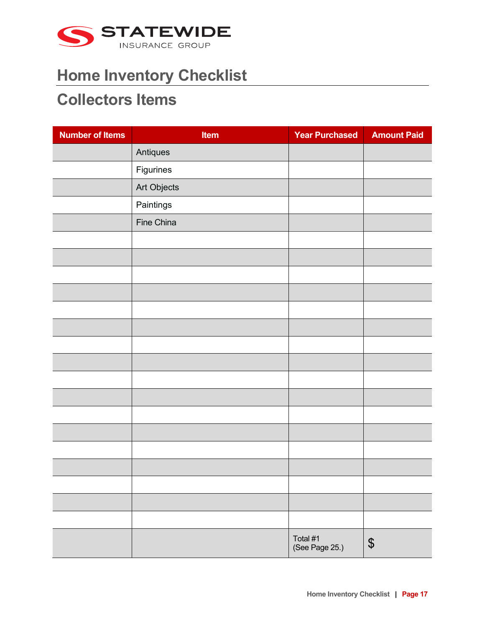

#### **Collectors Items**

| <b>Number of Items</b> | Item        | <b>Year Purchased</b>      | <b>Amount Paid</b>         |
|------------------------|-------------|----------------------------|----------------------------|
|                        | Antiques    |                            |                            |
|                        | Figurines   |                            |                            |
|                        | Art Objects |                            |                            |
|                        | Paintings   |                            |                            |
|                        | Fine China  |                            |                            |
|                        |             |                            |                            |
|                        |             |                            |                            |
|                        |             |                            |                            |
|                        |             |                            |                            |
|                        |             |                            |                            |
|                        |             |                            |                            |
|                        |             |                            |                            |
|                        |             |                            |                            |
|                        |             |                            |                            |
|                        |             |                            |                            |
|                        |             |                            |                            |
|                        |             |                            |                            |
|                        |             |                            |                            |
|                        |             |                            |                            |
|                        |             |                            |                            |
|                        |             |                            |                            |
|                        |             |                            |                            |
|                        |             | Total #1<br>(See Page 25.) | $\boldsymbol{\mathsf{\$}}$ |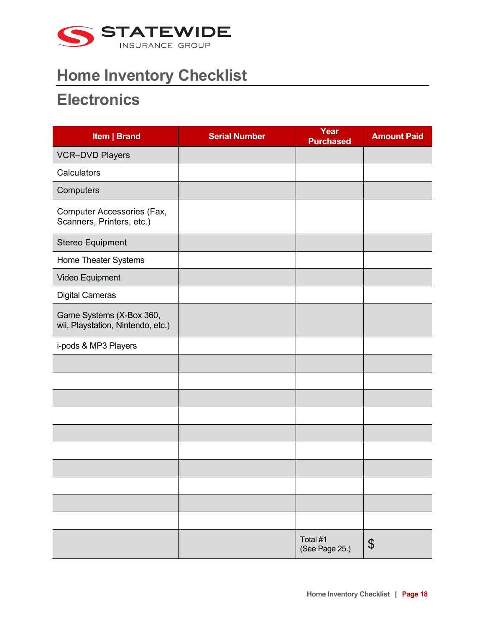

#### **Electronics**

| Item   Brand                                                  | <b>Serial Number</b> | Year<br><b>Purchased</b>   | <b>Amount Paid</b>    |
|---------------------------------------------------------------|----------------------|----------------------------|-----------------------|
| <b>VCR-DVD Players</b>                                        |                      |                            |                       |
| Calculators                                                   |                      |                            |                       |
| Computers                                                     |                      |                            |                       |
| Computer Accessories (Fax,<br>Scanners, Printers, etc.)       |                      |                            |                       |
| Stereo Equipment                                              |                      |                            |                       |
| Home Theater Systems                                          |                      |                            |                       |
| Video Equipment                                               |                      |                            |                       |
| <b>Digital Cameras</b>                                        |                      |                            |                       |
| Game Systems (X-Box 360,<br>wii, Playstation, Nintendo, etc.) |                      |                            |                       |
| i-pods & MP3 Players                                          |                      |                            |                       |
|                                                               |                      |                            |                       |
|                                                               |                      |                            |                       |
|                                                               |                      |                            |                       |
|                                                               |                      |                            |                       |
|                                                               |                      |                            |                       |
|                                                               |                      |                            |                       |
|                                                               |                      |                            |                       |
|                                                               |                      |                            |                       |
|                                                               |                      |                            |                       |
|                                                               |                      |                            |                       |
|                                                               |                      | Total #1<br>(See Page 25.) | $\boldsymbol{\theta}$ |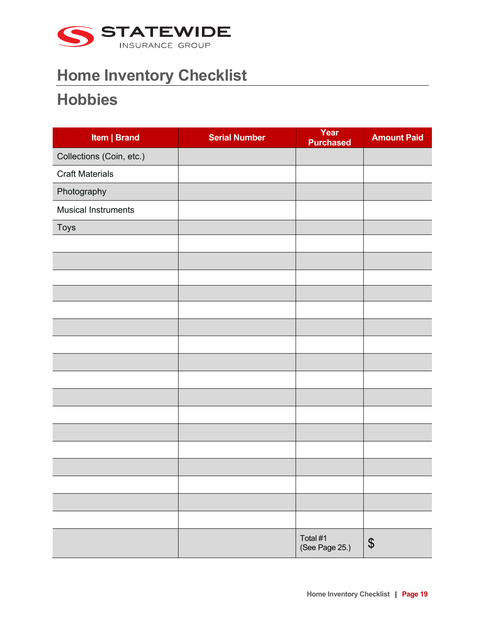

#### **Hobbies**

| Item   Brand               | <b>Serial Number</b> | Year<br><b>Purchased</b>   | <b>Amount Paid</b>         |
|----------------------------|----------------------|----------------------------|----------------------------|
| Collections (Coin, etc.)   |                      |                            |                            |
| <b>Craft Materials</b>     |                      |                            |                            |
| Photography                |                      |                            |                            |
| <b>Musical Instruments</b> |                      |                            |                            |
| Toys                       |                      |                            |                            |
|                            |                      |                            |                            |
|                            |                      |                            |                            |
|                            |                      |                            |                            |
|                            |                      |                            |                            |
|                            |                      |                            |                            |
|                            |                      |                            |                            |
|                            |                      |                            |                            |
|                            |                      |                            |                            |
|                            |                      |                            |                            |
|                            |                      |                            |                            |
|                            |                      |                            |                            |
|                            |                      |                            |                            |
|                            |                      |                            |                            |
|                            |                      |                            |                            |
|                            |                      |                            |                            |
|                            |                      |                            |                            |
|                            |                      |                            |                            |
|                            |                      | Total #1<br>(See Page 25.) | $\boldsymbol{\mathsf{\$}}$ |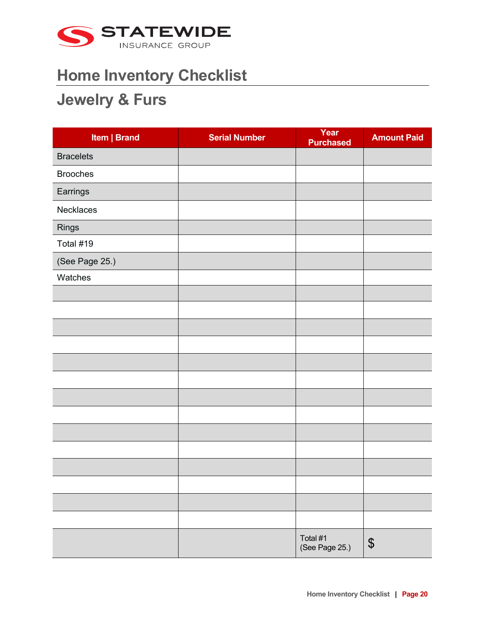

#### **Jewelry & Furs**

| Item   Brand     | <b>Serial Number</b> | Year<br><b>Purchased</b>   | <b>Amount Paid</b> |
|------------------|----------------------|----------------------------|--------------------|
| <b>Bracelets</b> |                      |                            |                    |
| <b>Brooches</b>  |                      |                            |                    |
| Earrings         |                      |                            |                    |
| Necklaces        |                      |                            |                    |
| Rings            |                      |                            |                    |
| Total #19        |                      |                            |                    |
| (See Page 25.)   |                      |                            |                    |
| Watches          |                      |                            |                    |
|                  |                      |                            |                    |
|                  |                      |                            |                    |
|                  |                      |                            |                    |
|                  |                      |                            |                    |
|                  |                      |                            |                    |
|                  |                      |                            |                    |
|                  |                      |                            |                    |
|                  |                      |                            |                    |
|                  |                      |                            |                    |
|                  |                      |                            |                    |
|                  |                      |                            |                    |
|                  |                      |                            |                    |
|                  |                      |                            |                    |
|                  |                      |                            |                    |
|                  |                      | Total #1<br>(See Page 25.) | $\boldsymbol{\$}$  |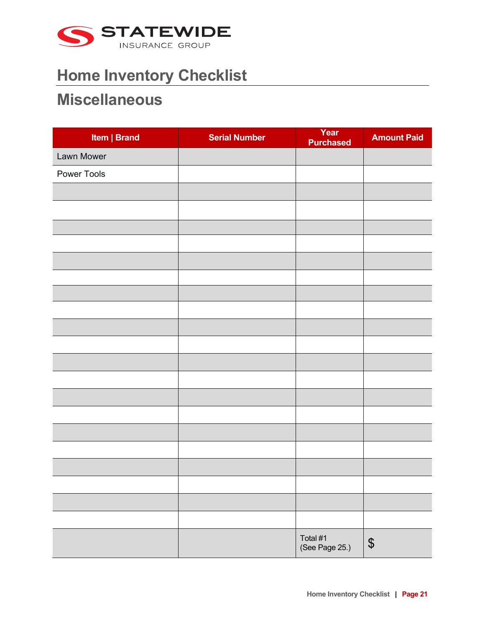

#### **Miscellaneous**

| Item   Brand | <b>Serial Number</b> | Year<br><b>Purchased</b>   | <b>Amount Paid</b> |
|--------------|----------------------|----------------------------|--------------------|
| Lawn Mower   |                      |                            |                    |
| Power Tools  |                      |                            |                    |
|              |                      |                            |                    |
|              |                      |                            |                    |
|              |                      |                            |                    |
|              |                      |                            |                    |
|              |                      |                            |                    |
|              |                      |                            |                    |
|              |                      |                            |                    |
|              |                      |                            |                    |
|              |                      |                            |                    |
|              |                      |                            |                    |
|              |                      |                            |                    |
|              |                      |                            |                    |
|              |                      |                            |                    |
|              |                      |                            |                    |
|              |                      |                            |                    |
|              |                      |                            |                    |
|              |                      |                            |                    |
|              |                      |                            |                    |
|              |                      |                            |                    |
|              |                      |                            |                    |
|              |                      | Total #1<br>(See Page 25.) | $\boldsymbol{\$}$  |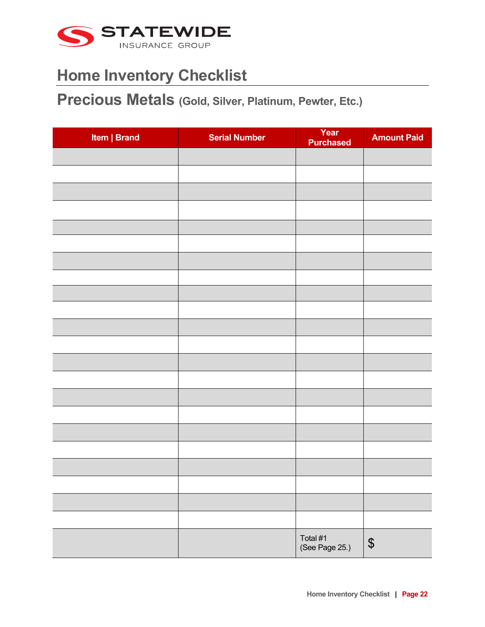

**Precious Metals (Gold, Silver, Platinum, Pewter, Etc.)** 

| Item   Brand | <b>Serial Number</b> | Year<br><b>Purchased</b>   | <b>Amount Paid</b>         |
|--------------|----------------------|----------------------------|----------------------------|
|              |                      |                            |                            |
|              |                      |                            |                            |
|              |                      |                            |                            |
|              |                      |                            |                            |
|              |                      |                            |                            |
|              |                      |                            |                            |
|              |                      |                            |                            |
|              |                      |                            |                            |
|              |                      |                            |                            |
|              |                      |                            |                            |
|              |                      |                            |                            |
|              |                      |                            |                            |
|              |                      |                            |                            |
|              |                      |                            |                            |
|              |                      |                            |                            |
|              |                      |                            |                            |
|              |                      |                            |                            |
|              |                      |                            |                            |
|              |                      |                            |                            |
|              |                      |                            |                            |
|              |                      |                            |                            |
|              |                      | Total #1<br>(See Page 25.) | $\boldsymbol{\mathsf{\$}}$ |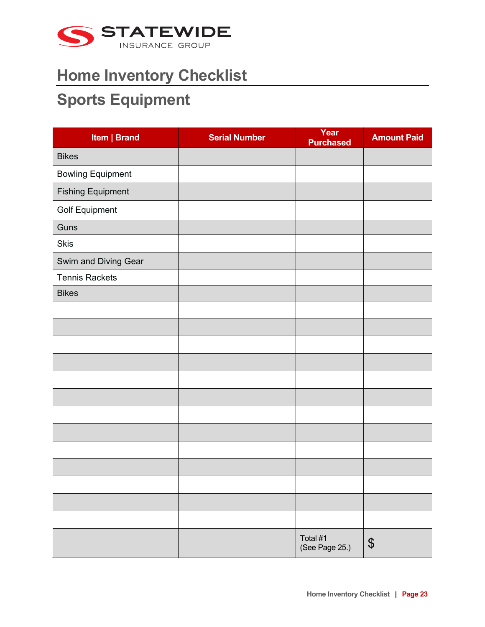

#### **Sports Equipment**

| Item   Brand             | <b>Serial Number</b> | Year<br><b>Purchased</b>   | <b>Amount Paid</b>         |
|--------------------------|----------------------|----------------------------|----------------------------|
| <b>Bikes</b>             |                      |                            |                            |
| <b>Bowling Equipment</b> |                      |                            |                            |
| <b>Fishing Equipment</b> |                      |                            |                            |
| <b>Golf Equipment</b>    |                      |                            |                            |
| Guns                     |                      |                            |                            |
| <b>Skis</b>              |                      |                            |                            |
| Swim and Diving Gear     |                      |                            |                            |
| <b>Tennis Rackets</b>    |                      |                            |                            |
| <b>Bikes</b>             |                      |                            |                            |
|                          |                      |                            |                            |
|                          |                      |                            |                            |
|                          |                      |                            |                            |
|                          |                      |                            |                            |
|                          |                      |                            |                            |
|                          |                      |                            |                            |
|                          |                      |                            |                            |
|                          |                      |                            |                            |
|                          |                      |                            |                            |
|                          |                      |                            |                            |
|                          |                      |                            |                            |
|                          |                      |                            |                            |
|                          |                      |                            |                            |
|                          |                      | Total #1<br>(See Page 25.) | $\boldsymbol{\mathsf{\$}}$ |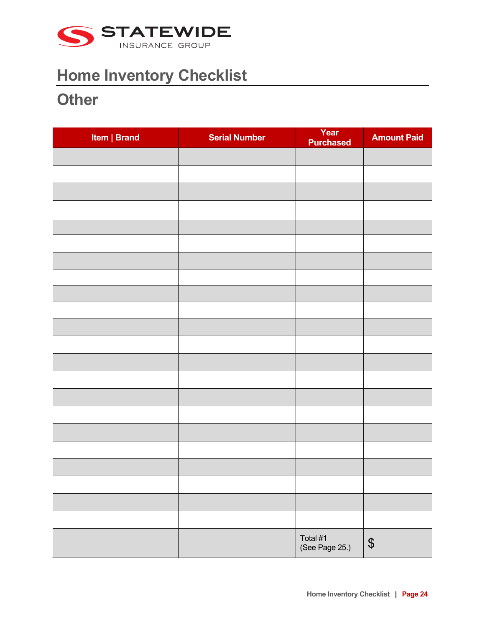

#### **Other**

| Item   Brand | <b>Serial Number</b> | Year<br><b>Purchased</b>   | <b>Amount Paid</b>         |
|--------------|----------------------|----------------------------|----------------------------|
|              |                      |                            |                            |
|              |                      |                            |                            |
|              |                      |                            |                            |
|              |                      |                            |                            |
|              |                      |                            |                            |
|              |                      |                            |                            |
|              |                      |                            |                            |
|              |                      |                            |                            |
|              |                      |                            |                            |
|              |                      |                            |                            |
|              |                      |                            |                            |
|              |                      |                            |                            |
|              |                      |                            |                            |
|              |                      |                            |                            |
|              |                      |                            |                            |
|              |                      |                            |                            |
|              |                      |                            |                            |
|              |                      |                            |                            |
|              |                      |                            |                            |
|              |                      |                            |                            |
|              |                      |                            |                            |
|              |                      |                            |                            |
|              |                      | Total #1<br>(See Page 25.) | $\boldsymbol{\mathsf{\$}}$ |